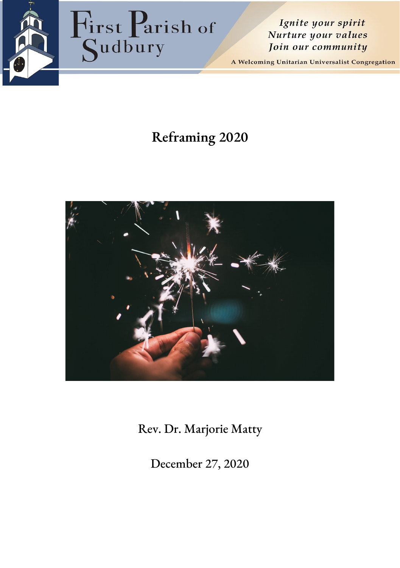

Ignite your spirit Nurture your values Join our community

A Welcoming Unitarian Universalist Congregation

# **Reframing 2020**



Rev. Dr. Marjorie Matty

December 27, 2020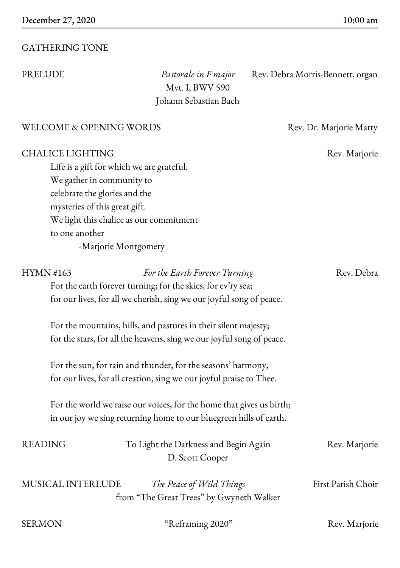## GATHERING TONE

Mvt. I, BWV 590 Johann Sebastian Bach

PRELUDE *Pastorale in F major* Rev. Debra Morris-Bennett, organ

#### WELCOME & OPENING WORDS Rev. Dr. Marjorie Matty

#### CHALICE LIGHTING Rev. Marjorie

Life is a gift for which we are grateful. We gather in community to celebrate the glories and the mysteries of this great gift. We light this chalice as our commitment to one another -Marjorie Montgomery

For the earth forever turning; for the skies, for ev'ry sea; for our lives, for all we cherish, sing we our joyful song of peace. For the mountains, hills, and pastures in their silent majesty; for the stars, for all the heavens, sing we our joyful song of peace. For the sun, for rain and thunder, for the seasons' harmony, for our lives, for all creation, sing we our joyful praise to Thee. For the world we raise our voices, for the home that gives us birth; in our joy we sing returning home to our bluegreen hills of earth. READING To Light the Darkness and Begin Again Rev. Marjorie D. Scott Cooper MUSICAL INTERLUDE *The Peace of Wild Things* First Parish Choir from "The Great Trees" by Gwyneth Walker

| SERMON | "Reframing 2020" | Rev. Marjorie |
|--------|------------------|---------------|
|        |                  |               |

## HYMN #163 *For the Earth Forever Turning* Rev. Debra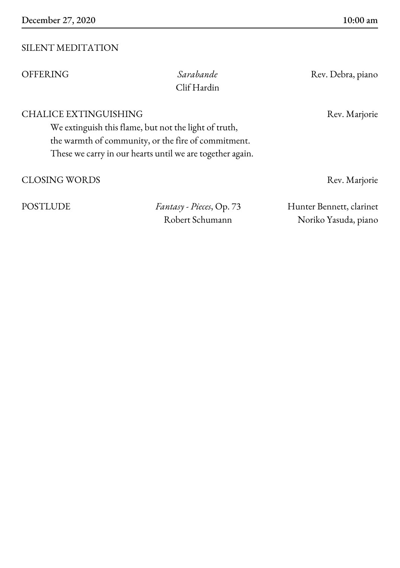## SILENT MEDITATION

| <b>OFFERING</b>                                                                                                                                                                                           | Sarabande<br>Clif Hardin                            | Rev. Debra, piano                                |
|-----------------------------------------------------------------------------------------------------------------------------------------------------------------------------------------------------------|-----------------------------------------------------|--------------------------------------------------|
| <b>CHALICE EXTINGUISHING</b><br>We extinguish this flame, but not the light of truth,<br>the warmth of community, or the fire of commitment.<br>These we carry in our hearts until we are together again. |                                                     | Rev. Marjorie                                    |
| <b>CLOSING WORDS</b>                                                                                                                                                                                      |                                                     | Rev. Marjorie                                    |
| <b>POSTLUDE</b>                                                                                                                                                                                           | <i>Fantasy - Pieces</i> , Op. 73<br>Robert Schumann | Hunter Bennett, clarinet<br>Noriko Yasuda, piano |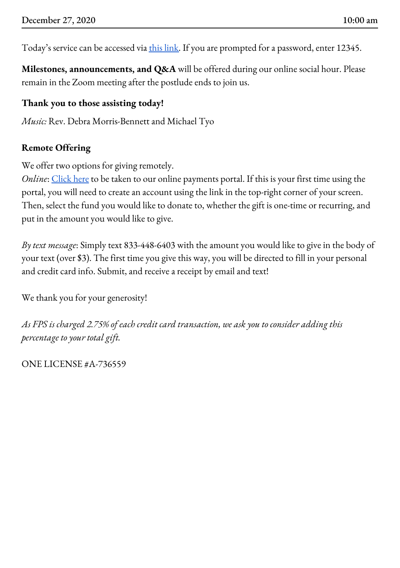Today's service can be accessed via this [link.](https://zoom.us/j/5707250834) If you are prompted for a password, enter 12345.

**Milestones, announcements, and Q&A** will be offered during our online social hour. Please remain in the Zoom meeting after the postlude ends to join us.

## **Thank you to those assisting today!**

*Music:* Rev. Debra Morris-Bennett and Michael Tyo

## **Remote Offering**

We offer two options for giving remotely.

*Online*: [Click](https://gp.vancopayments.com/gpo/#/donateNow/5bb8e8a5-ce0f-4409-894d-d4217da) here to be taken to our online payments portal. If this is your first time using the portal, you will need to create an account using the link in the top-right corner of your screen. Then, select the fund you would like to donate to, whether the gift is one-time or recurring, and put in the amount you would like to give.

*By text message*: Simply text 833-448-6403 with the amount you would like to give in the body of your text (over \$3). The first time you give this way, you will be directed to fill in your personal and credit card info. Submit, and receive a receipt by email and text!

We thank you for your generosity!

*As FPS is charged 2.75% of each credit card transaction, we ask you to consider adding this percentage to your total gift.*

ONE LICENSE #A-736559